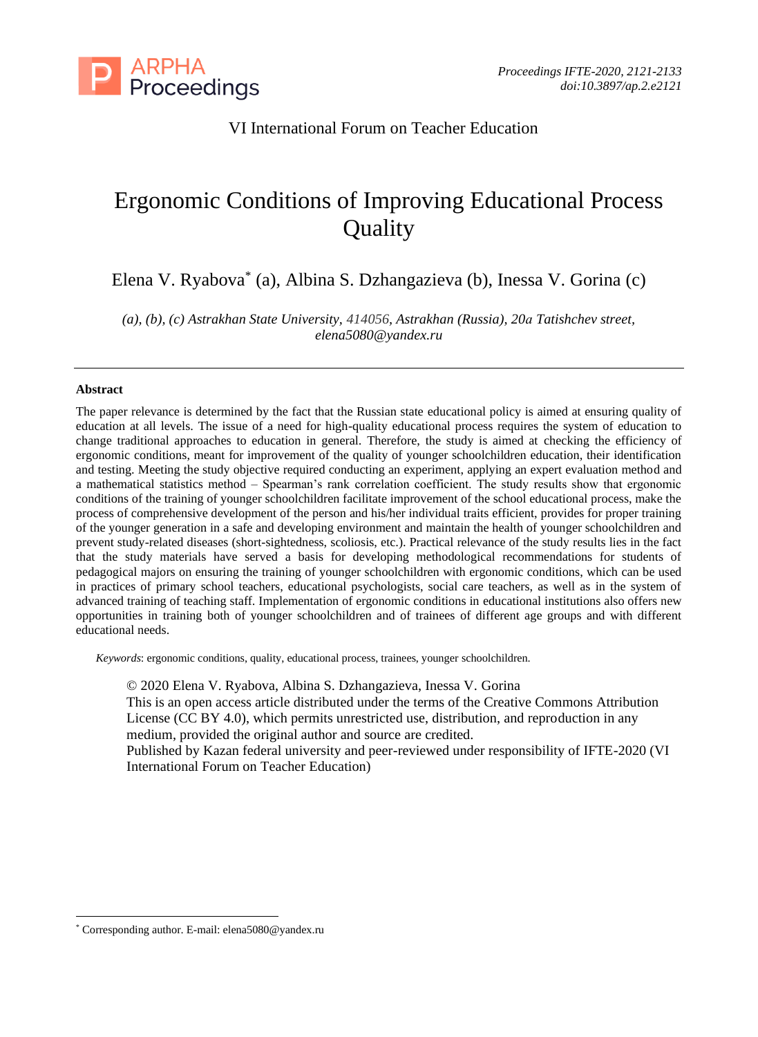

# VI International Forum on Teacher Education

# Ergonomic Conditions of Improving Educational Process **Quality**

Elena V. Ryabova\* (a), Albina S. Dzhangazieva (b), Inessa V. Gorina (c)

*(a), (b), (c) Astrakhan State University, 414056, Astrakhan (Russia), 20а Tatishchev street, [elena5080@yandex.ru](mailto:elena5080@yandex.ru)*

#### **Abstract**

The paper relevance is determined by the fact that the Russian state educational policy is aimed at ensuring quality of education at all levels. The issue of a need for high-quality educational process requires the system of education to change traditional approaches to education in general. Therefore, the study is aimed at checking the efficiency of ergonomic conditions, meant for improvement of the quality of younger schoolchildren education, their identification and testing. Meeting the study objective required conducting an experiment, applying an expert evaluation method and a mathematical statistics method – Spearman's rank correlation coefficient. The study results show that ergonomic conditions of the training of younger schoolchildren facilitate improvement of the school educational process, make the process of comprehensive development of the person and his/her individual traits efficient, provides for proper training of the younger generation in a safe and developing environment and maintain the health of younger schoolchildren and prevent study-related diseases (short-sightedness, scoliosis, etc.). Practical relevance of the study results lies in the fact that the study materials have served a basis for developing methodological recommendations for students of pedagogical majors on ensuring the training of younger schoolchildren with ergonomic conditions, which can be used in practices of primary school teachers, educational psychologists, social care teachers, as well as in the system of advanced training of teaching staff. Implementation of ergonomic conditions in educational institutions also offers new opportunities in training both of younger schoolchildren and of trainees of different age groups and with different educational needs.

*Keywords*: ergonomic conditions, quality, educational process, trainees, younger schoolchildren.

© 2020 Elena V. Ryabova, Albina S. Dzhangazieva, Inessa V. Gorina This is an open access article distributed under the terms of the Creative Commons Attribution License (CC BY 4.0), which permits unrestricted use, distribution, and reproduction in any medium, provided the original author and source are credited. Published by Kazan federal university and peer-reviewed under responsibility of IFTE-2020 (VI International Forum on Teacher Education)

<sup>\*</sup> Corresponding author. E-mail: elena5080@yandex.ru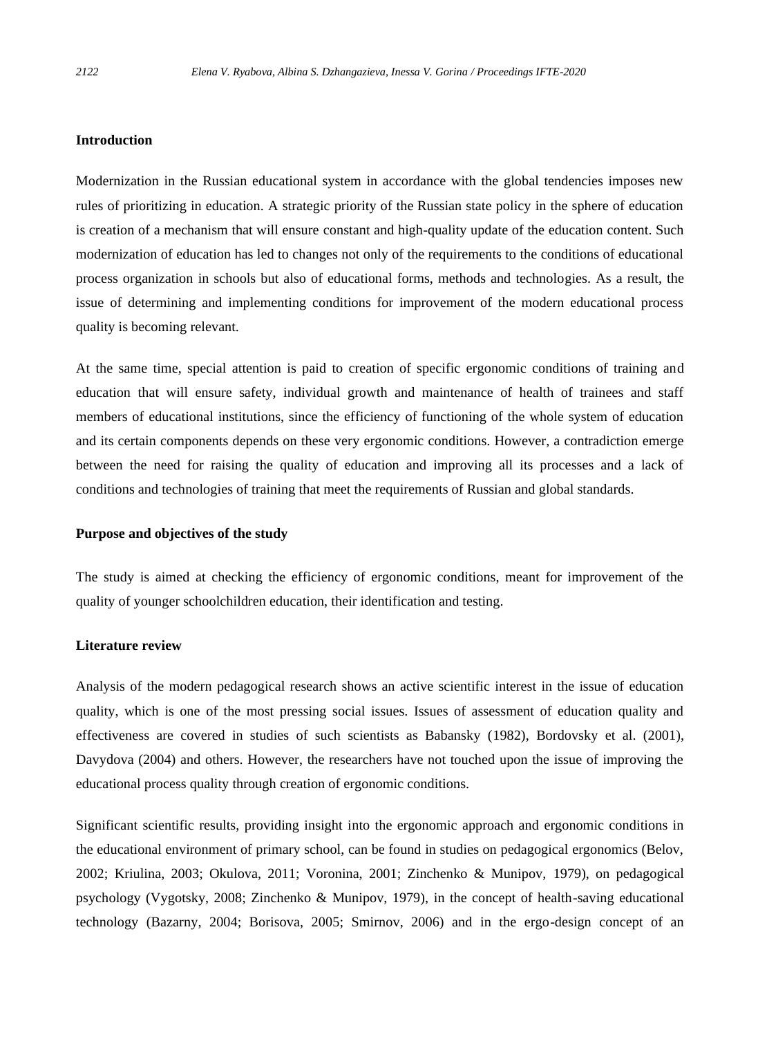### **Introduction**

Modernization in the Russian educational system in accordance with the global tendencies imposes new rules of prioritizing in education. A strategic priority of the Russian state policy in the sphere of education is creation of a mechanism that will ensure constant and high-quality update of the education content. Such modernization of education has led to changes not only of the requirements to the conditions of educational process organization in schools but also of educational forms, methods and technologies. As a result, the issue of determining and implementing conditions for improvement of the modern educational process quality is becoming relevant.

At the same time, special attention is paid to creation of specific ergonomic conditions of training and education that will ensure safety, individual growth and maintenance of health of trainees and staff members of educational institutions, since the efficiency of functioning of the whole system of education and its certain components depends on these very ergonomic conditions. However, a contradiction emerge between the need for raising the quality of education and improving all its processes and a lack of conditions and technologies of training that meet the requirements of Russian and global standards.

#### **Purpose and objectives of the study**

The study is aimed at checking the efficiency of ergonomic conditions, meant for improvement of the quality of younger schoolchildren education, their identification and testing.

#### **Literature review**

Analysis of the modern pedagogical research shows an active scientific interest in the issue of education quality, which is one of the most pressing social issues. Issues of assessment of education quality and effectiveness are covered in studies of such scientists as Babansky (1982), Bordovsky et al. (2001), Davydova (2004) and others. However, the researchers have not touched upon the issue of improving the educational process quality through creation of ergonomic conditions.

Significant scientific results, providing insight into the ergonomic approach and ergonomic conditions in the educational environment of primary school, can be found in studies on pedagogical ergonomics (Belov, 2002; Kriulina, 2003; Okulova, 2011; Voronina, 2001; Zinchenko & Munipov, 1979), on pedagogical psychology (Vygotsky, 2008; Zinchenko & Munipov, 1979), in the concept of health-saving educational technology (Bazarny, 2004; Borisova, 2005; Smirnov, 2006) and in the ergo-design concept of an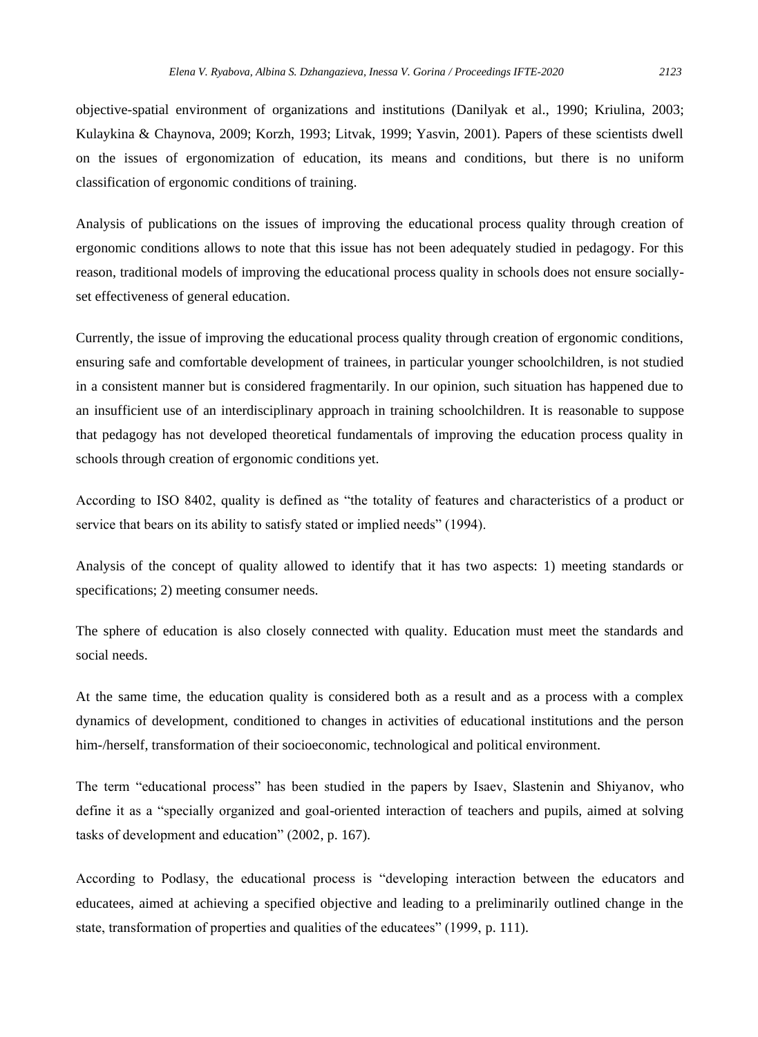objective-spatial environment of organizations and institutions (Danilyak et al., 1990; Kriulina, 2003; Kulaykina & Chaynova, 2009; Korzh, 1993; Litvak, 1999; Yasvin, 2001). Papers of these scientists dwell on the issues of ergonomization of education, its means and conditions, but there is no uniform classification of ergonomic conditions of training.

Analysis of publications on the issues of improving the educational process quality through creation of ergonomic conditions allows to note that this issue has not been adequately studied in pedagogy. For this reason, traditional models of improving the educational process quality in schools does not ensure sociallyset effectiveness of general education.

Currently, the issue of improving the educational process quality through creation of ergonomic conditions, ensuring safe and comfortable development of trainees, in particular younger schoolchildren, is not studied in a consistent manner but is considered fragmentarily. In our opinion, such situation has happened due to an insufficient use of an interdisciplinary approach in training schoolchildren. It is reasonable to suppose that pedagogy has not developed theoretical fundamentals of improving the education process quality in schools through creation of ergonomic conditions yet.

According to ISO 8402, quality is defined as "the totality of features and characteristics of a product or service that bears on its ability to satisfy stated or implied needs" (1994).

Analysis of the concept of quality allowed to identify that it has two aspects: 1) meeting standards or specifications; 2) meeting consumer needs.

The sphere of education is also closely connected with quality. Education must meet the standards and social needs.

At the same time, the education quality is considered both as a result and as a process with a complex dynamics of development, conditioned to changes in activities of educational institutions and the person him-/herself, transformation of their socioeconomic, technological and political environment.

The term "educational process" has been studied in the papers by Isaev, Slastenin and Shiyanov, who define it as a "specially organized and goal-oriented interaction of teachers and pupils, aimed at solving tasks of development and education" (2002, p. 167).

According to Podlasy, the educational process is "developing interaction between the educators and educatees, aimed at achieving a specified objective and leading to a preliminarily outlined change in the state, transformation of properties and qualities of the educatees" (1999, p. 111).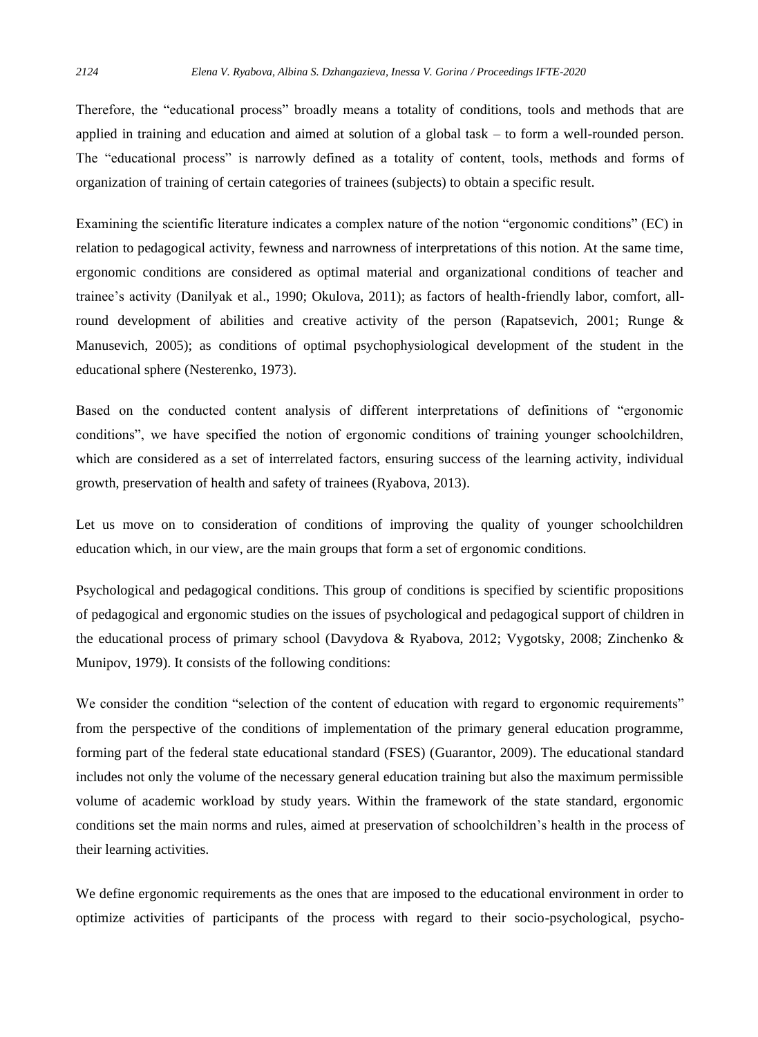Therefore, the "educational process" broadly means a totality of conditions, tools and methods that are applied in training and education and aimed at solution of a global task – to form a well-rounded person. The "educational process" is narrowly defined as a totality of content, tools, methods and forms of organization of training of certain categories of trainees (subjects) to obtain a specific result.

Examining the scientific literature indicates a complex nature of the notion "ergonomic conditions" (EC) in relation to pedagogical activity, fewness and narrowness of interpretations of this notion. At the same time, ergonomic conditions are considered as optimal material and organizational conditions of teacher and trainee's activity (Danilyak et al., 1990; Okulova, 2011); as factors of health-friendly labor, comfort, allround development of abilities and creative activity of the person (Rapatsevich, 2001; Runge & Manusevich, 2005); as conditions of optimal psychophysiological development of the student in the educational sphere (Nesterenko, 1973).

Based on the conducted content analysis of different interpretations of definitions of "ergonomic conditions", we have specified the notion of ergonomic conditions of training younger schoolchildren, which are considered as a set of interrelated factors, ensuring success of the learning activity, individual growth, preservation of health and safety of trainees (Ryabova, 2013).

Let us move on to consideration of conditions of improving the quality of younger schoolchildren education which, in our view, are the main groups that form a set of ergonomic conditions.

Psychological and pedagogical conditions. This group of conditions is specified by scientific propositions of pedagogical and ergonomic studies on the issues of psychological and pedagogical support of children in the educational process of primary school (Davydova & Ryabova, 2012; Vygotsky, 2008; Zinchenko & Munipov, 1979). It consists of the following conditions:

We consider the condition "selection of the content of education with regard to ergonomic requirements" from the perspective of the conditions of implementation of the primary general education programme, forming part of the federal state educational standard (FSES) (Guarantor, 2009). The educational standard includes not only the volume of the necessary general education training but also the maximum permissible volume of academic workload by study years. Within the framework of the state standard, ergonomic conditions set the main norms and rules, aimed at preservation of schoolchildren's health in the process of their learning activities.

We define ergonomic requirements as the ones that are imposed to the educational environment in order to optimize activities of participants of the process with regard to their socio-psychological, psycho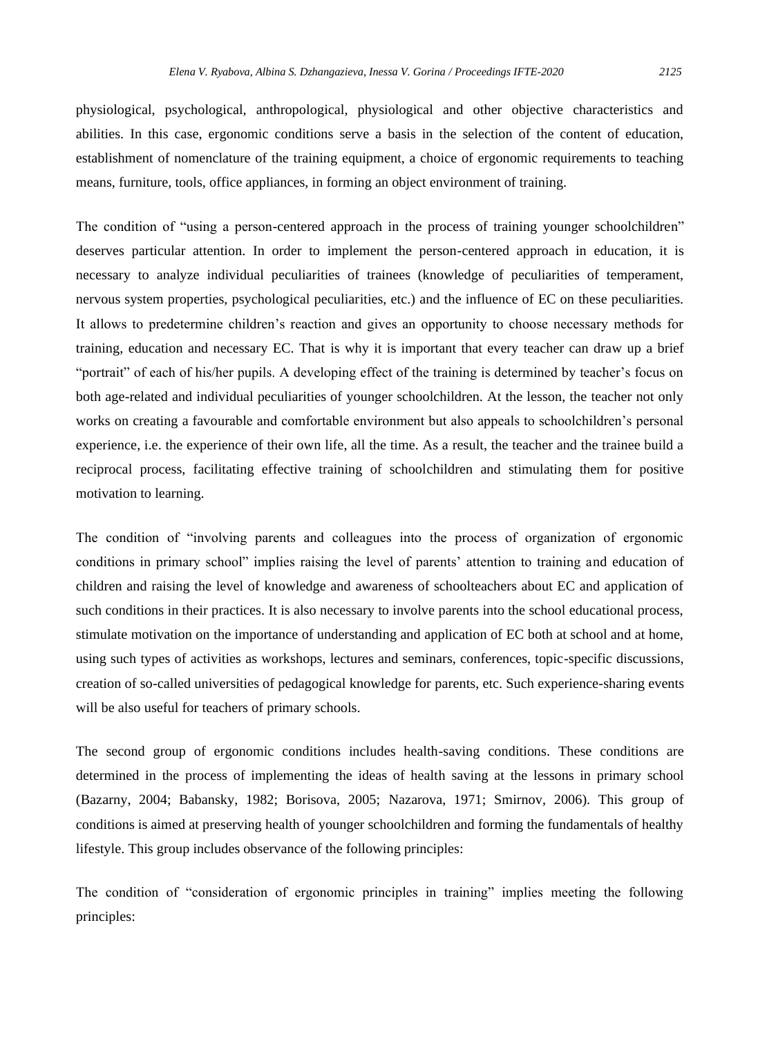physiological, psychological, anthropological, physiological and other objective characteristics and abilities. In this case, ergonomic conditions serve a basis in the selection of the content of education, establishment of nomenclature of the training equipment, a choice of ergonomic requirements to teaching means, furniture, tools, office appliances, in forming an object environment of training.

The condition of "using a person-centered approach in the process of training younger schoolchildren" deserves particular attention. In order to implement the person-centered approach in education, it is necessary to analyze individual peculiarities of trainees (knowledge of peculiarities of temperament, nervous system properties, psychological peculiarities, etc.) and the influence of EC on these peculiarities. It allows to predetermine children's reaction and gives an opportunity to choose necessary methods for training, education and necessary EC. That is why it is important that every teacher can draw up a brief "portrait" of each of his/her pupils. A developing effect of the training is determined by teacher's focus on both age-related and individual peculiarities of younger schoolchildren. At the lesson, the teacher not only works on creating a favourable and comfortable environment but also appeals to schoolchildren's personal experience, i.e. the experience of their own life, all the time. As a result, the teacher and the trainee build a reciprocal process, facilitating effective training of schoolchildren and stimulating them for positive motivation to learning.

The condition of "involving parents and colleagues into the process of organization of ergonomic conditions in primary school" implies raising the level of parents' attention to training and education of children and raising the level of knowledge and awareness of schoolteachers about EC and application of such conditions in their practices. It is also necessary to involve parents into the school educational process, stimulate motivation on the importance of understanding and application of EC both at school and at home, using such types of activities as workshops, lectures and seminars, conferences, topic-specific discussions, creation of so-called universities of pedagogical knowledge for parents, etc. Such experience-sharing events will be also useful for teachers of primary schools.

The second group of ergonomic conditions includes health-saving conditions. These conditions are determined in the process of implementing the ideas of health saving at the lessons in primary school (Bazarny, 2004; Babansky, 1982; Borisova, 2005; Nazarova, 1971; Smirnov, 2006). This group of conditions is aimed at preserving health of younger schoolchildren and forming the fundamentals of healthy lifestyle. This group includes observance of the following principles:

The condition of "consideration of ergonomic principles in training" implies meeting the following principles: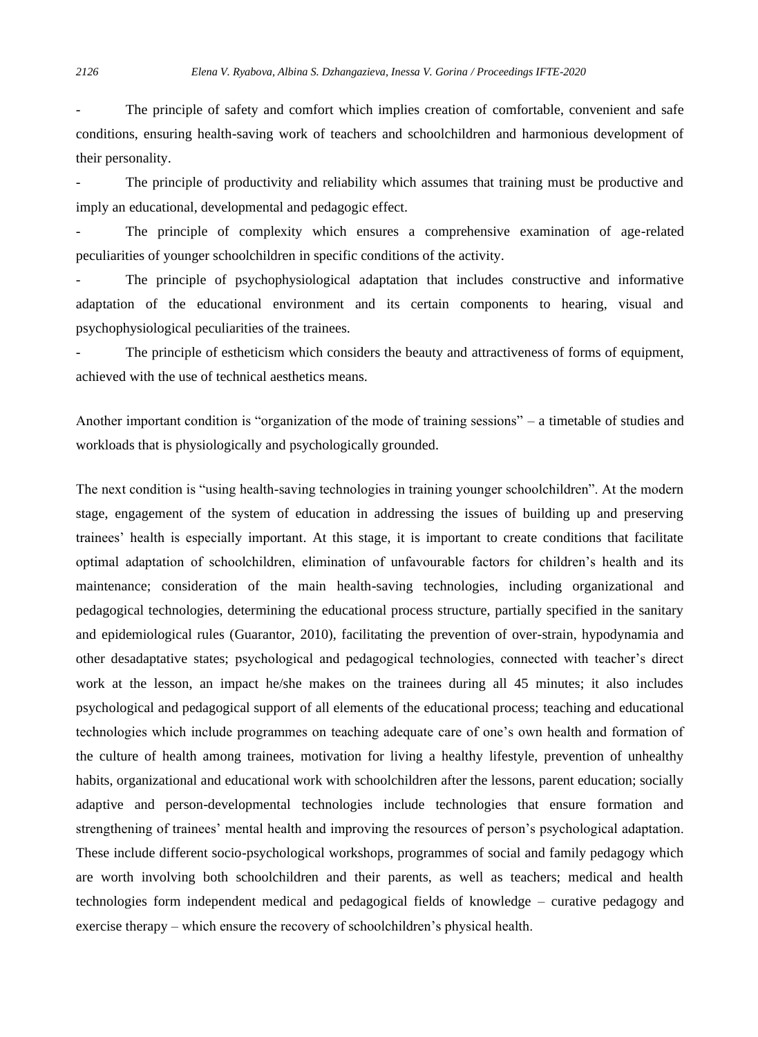The principle of safety and comfort which implies creation of comfortable, convenient and safe conditions, ensuring health-saving work of teachers and schoolchildren and harmonious development of their personality.

The principle of productivity and reliability which assumes that training must be productive and imply an educational, developmental and pedagogic effect.

The principle of complexity which ensures a comprehensive examination of age-related peculiarities of younger schoolchildren in specific conditions of the activity.

The principle of psychophysiological adaptation that includes constructive and informative adaptation of the educational environment and its certain components to hearing, visual and psychophysiological peculiarities of the trainees.

The principle of estheticism which considers the beauty and attractiveness of forms of equipment, achieved with the use of technical aesthetics means.

Another important condition is "organization of the mode of training sessions" – a timetable of studies and workloads that is physiologically and psychologically grounded.

The next condition is "using health-saving technologies in training younger schoolchildren". At the modern stage, engagement of the system of education in addressing the issues of building up and preserving trainees' health is especially important. At this stage, it is important to create conditions that facilitate optimal adaptation of schoolchildren, elimination of unfavourable factors for children's health and its maintenance; consideration of the main health-saving technologies, including organizational and pedagogical technologies, determining the educational process structure, partially specified in the sanitary and epidemiological rules (Guarantor, 2010), facilitating the prevention of over-strain, hypodynamia and other desadaptative states; psychological and pedagogical technologies, connected with teacher's direct work at the lesson, an impact he/she makes on the trainees during all 45 minutes; it also includes psychological and pedagogical support of all elements of the educational process; teaching and educational technologies which include programmes on teaching adequate care of one's own health and formation of the culture of health among trainees, motivation for living a healthy lifestyle, prevention of unhealthy habits, organizational and educational work with schoolchildren after the lessons, parent education; socially adaptive and person-developmental technologies include technologies that ensure formation and strengthening of trainees' mental health and improving the resources of person's psychological adaptation. These include different socio-psychological workshops, programmes of social and family pedagogy which are worth involving both schoolchildren and their parents, as well as teachers; medical and health technologies form independent medical and pedagogical fields of knowledge – curative pedagogy and exercise therapy – which ensure the recovery of schoolchildren's physical health.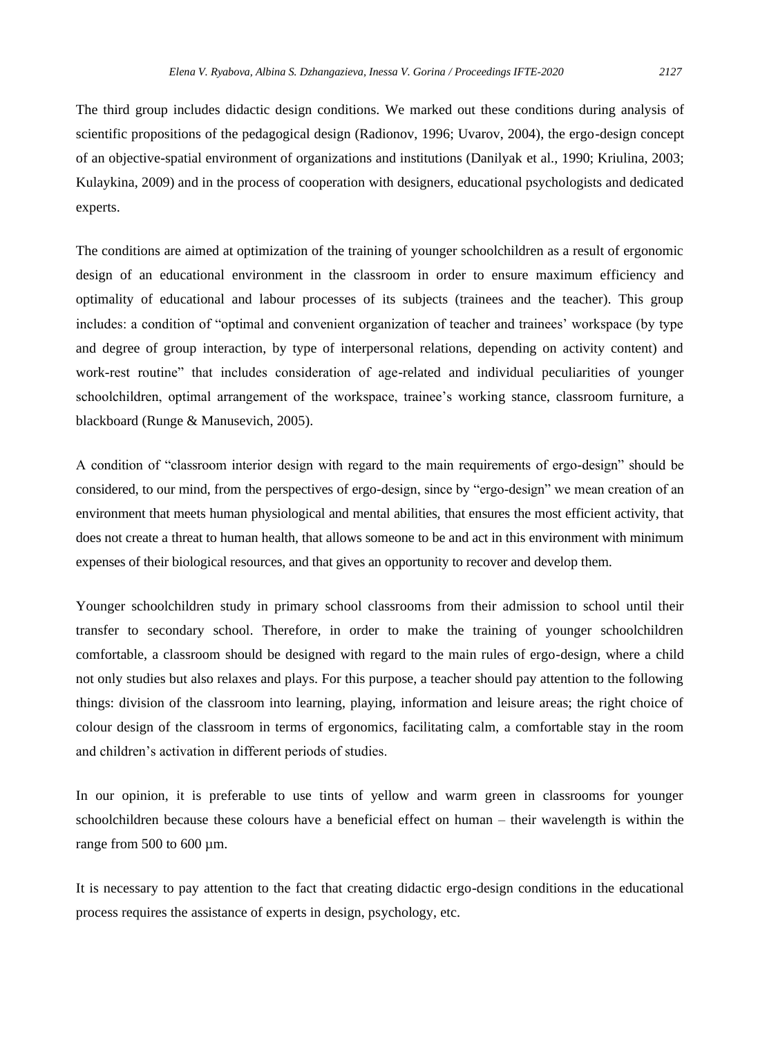The third group includes didactic design conditions. We marked out these conditions during analysis of scientific propositions of the pedagogical design (Radionov, 1996; Uvarov, 2004), the ergo-design concept of an objective-spatial environment of organizations and institutions (Danilyak et al., 1990; Kriulina, 2003; Kulaykina, 2009) and in the process of cooperation with designers, educational psychologists and dedicated experts.

The conditions are aimed at optimization of the training of younger schoolchildren as a result of ergonomic design of an educational environment in the classroom in order to ensure maximum efficiency and optimality of educational and labour processes of its subjects (trainees and the teacher). This group includes: a condition of "optimal and convenient organization of teacher and trainees' workspace (by type and degree of group interaction, by type of interpersonal relations, depending on activity content) and work-rest routine" that includes consideration of age-related and individual peculiarities of younger schoolchildren, optimal arrangement of the workspace, trainee's working stance, classroom furniture, a blackboard (Runge & Manusevich, 2005).

A condition of "classroom interior design with regard to the main requirements of ergo-design" should be considered, to our mind, from the perspectives of ergo-design, since by "ergo-design" we mean creation of an environment that meets human physiological and mental abilities, that ensures the most efficient activity, that does not create a threat to human health, that allows someone to be and act in this environment with minimum expenses of their biological resources, and that gives an opportunity to recover and develop them.

Younger schoolchildren study in primary school classrooms from their admission to school until their transfer to secondary school. Therefore, in order to make the training of younger schoolchildren comfortable, a classroom should be designed with regard to the main rules of ergo-design, where a child not only studies but also relaxes and plays. For this purpose, a teacher should pay attention to the following things: division of the classroom into learning, playing, information and leisure areas; the right choice of colour design of the classroom in terms of ergonomics, facilitating calm, a comfortable stay in the room and children's activation in different periods of studies.

In our opinion, it is preferable to use tints of yellow and warm green in classrooms for younger schoolchildren because these colours have a beneficial effect on human – their wavelength is within the range from 500 to 600 µm.

It is necessary to pay attention to the fact that creating didactic ergo-design conditions in the educational process requires the assistance of experts in design, psychology, etc.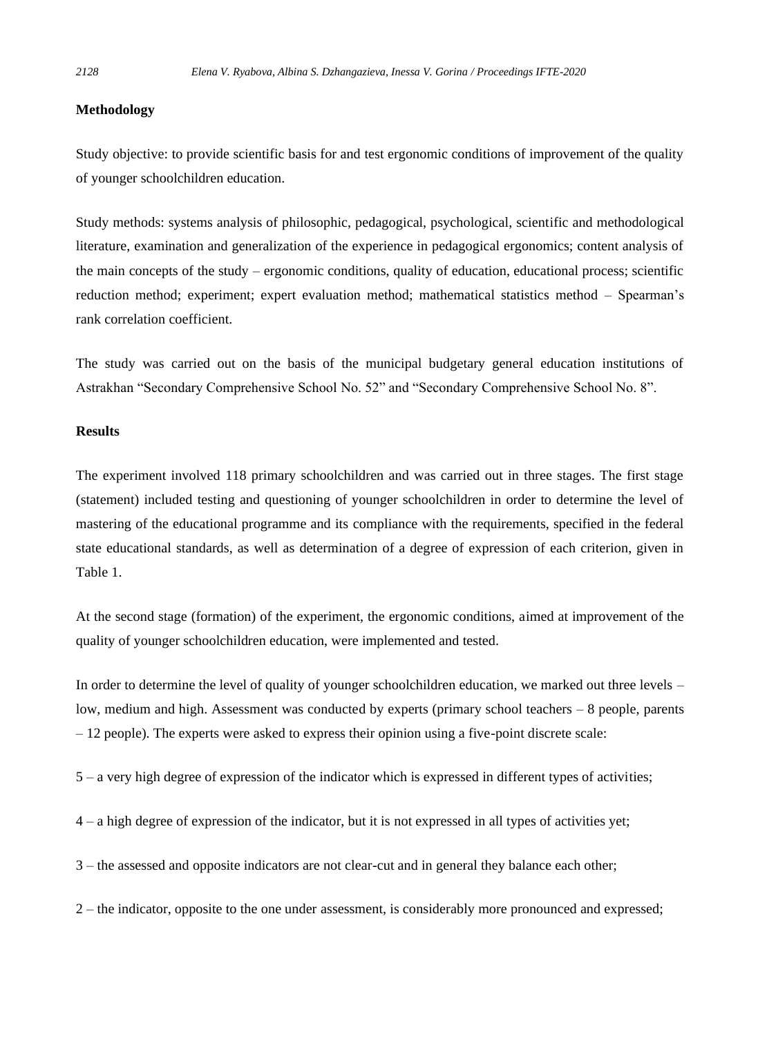#### **Methodology**

Study objective: to provide scientific basis for and test ergonomic conditions of improvement of the quality of younger schoolchildren education.

Study methods: systems analysis of philosophic, pedagogical, psychological, scientific and methodological literature, examination and generalization of the experience in pedagogical ergonomics; content analysis of the main concepts of the study – ergonomic conditions, quality of education, educational process; scientific reduction method; experiment; expert evaluation method; mathematical statistics method – Spearman's rank correlation coefficient.

The study was carried out on the basis of the municipal budgetary general education institutions of Astrakhan "Secondary Comprehensive School No. 52" and "Secondary Comprehensive School No. 8".

#### **Results**

The experiment involved 118 primary schoolchildren and was carried out in three stages. The first stage (statement) included testing and questioning of younger schoolchildren in order to determine the level of mastering of the educational programme and its compliance with the requirements, specified in the federal state educational standards, as well as determination of a degree of expression of each criterion, given in Table 1.

At the second stage (formation) of the experiment, the ergonomic conditions, aimed at improvement of the quality of younger schoolchildren education, were implemented and tested.

In order to determine the level of quality of younger schoolchildren education, we marked out three levels – low, medium and high. Assessment was conducted by experts (primary school teachers – 8 people, parents – 12 people). The experts were asked to express their opinion using a five-point discrete scale:

5 – a very high degree of expression of the indicator which is expressed in different types of activities;

4 – a high degree of expression of the indicator, but it is not expressed in all types of activities yet;

3 – the assessed and opposite indicators are not clear-cut and in general they balance each other;

2 – the indicator, opposite to the one under assessment, is considerably more pronounced and expressed;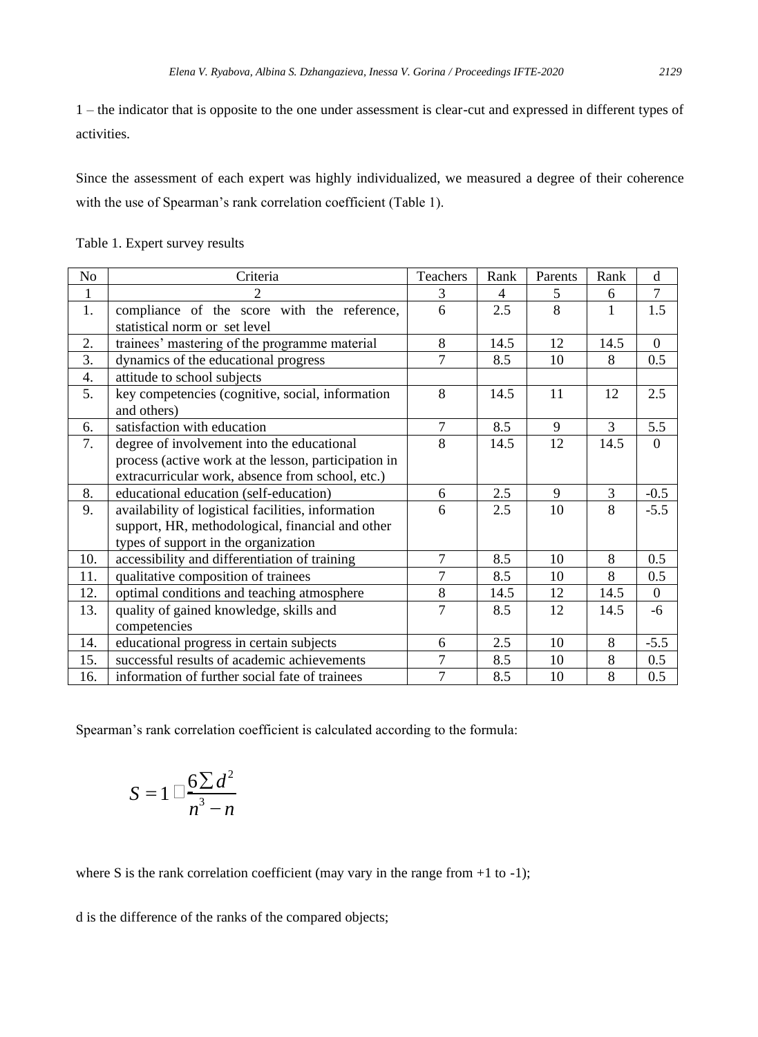1 – the indicator that is opposite to the one under assessment is clear-cut and expressed in different types of activities.

Since the assessment of each expert was highly individualized, we measured a degree of their coherence with the use of Spearman's rank correlation coefficient (Table 1).

| Table 1. Expert survey results |  |  |  |
|--------------------------------|--|--|--|
|--------------------------------|--|--|--|

| No           | Criteria                                             | Teachers       | Rank | Parents | Rank         | d              |
|--------------|------------------------------------------------------|----------------|------|---------|--------------|----------------|
| $\mathbf{1}$ | 2                                                    | 3              | 4    | 5       | 6            | $\overline{7}$ |
| 1.           | compliance of the score with the reference,          | 6              | 2.5  | 8       | $\mathbf{1}$ | 1.5            |
|              | statistical norm or set level                        |                |      |         |              |                |
| 2.           | trainees' mastering of the programme material        | 8              | 14.5 | 12      | 14.5         | $\Omega$       |
| 3.           | dynamics of the educational progress                 |                | 8.5  | 10      | 8            | 0.5            |
| 4.           | attitude to school subjects                          |                |      |         |              |                |
| 5.           | key competencies (cognitive, social, information     | 8              | 14.5 | 11      | 12           | 2.5            |
|              | and others)                                          |                |      |         |              |                |
| 6.           | satisfaction with education                          | $\overline{7}$ | 8.5  | 9       | 3            | 5.5            |
| 7.           | degree of involvement into the educational           | 8              | 14.5 | 12      | 14.5         | $\Omega$       |
|              | process (active work at the lesson, participation in |                |      |         |              |                |
|              | extracurricular work, absence from school, etc.)     |                |      |         |              |                |
| 8.           | educational education (self-education)               | 6              | 2.5  | 9       | 3            | $-0.5$         |
| 9.           | availability of logistical facilities, information   | 6              | 2.5  | 10      | 8            | $-5.5$         |
|              | support, HR, methodological, financial and other     |                |      |         |              |                |
|              | types of support in the organization                 |                |      |         |              |                |
| 10.          | accessibility and differentiation of training        | $\tau$         | 8.5  | 10      | 8            | 0.5            |
| 11.          | qualitative composition of trainees                  | $\tau$         | 8.5  | 10      | 8            | 0.5            |
| 12.          | optimal conditions and teaching atmosphere           | 8              | 14.5 | 12      | 14.5         | $\mathbf{0}$   |
| 13.          | quality of gained knowledge, skills and              | $\tau$         | 8.5  | 12      | 14.5         | $-6$           |
|              | competencies                                         |                |      |         |              |                |
| 14.          | educational progress in certain subjects             | 6              | 2.5  | 10      | 8            | $-5.5$         |
| 15.          | successful results of academic achievements          | $\overline{7}$ | 8.5  | 10      | 8            | 0.5            |
| 16.          | information of further social fate of trainees       |                | 8.5  | 10      | 8            | 0.5            |

Spearman's rank correlation coefficient is calculated according to the formula:

$$
S=1\ \frac{6\sum d^2}{n^3-n}
$$

where S is the rank correlation coefficient (may vary in the range from  $+1$  to  $-1$ );

d is the difference of the ranks of the compared objects;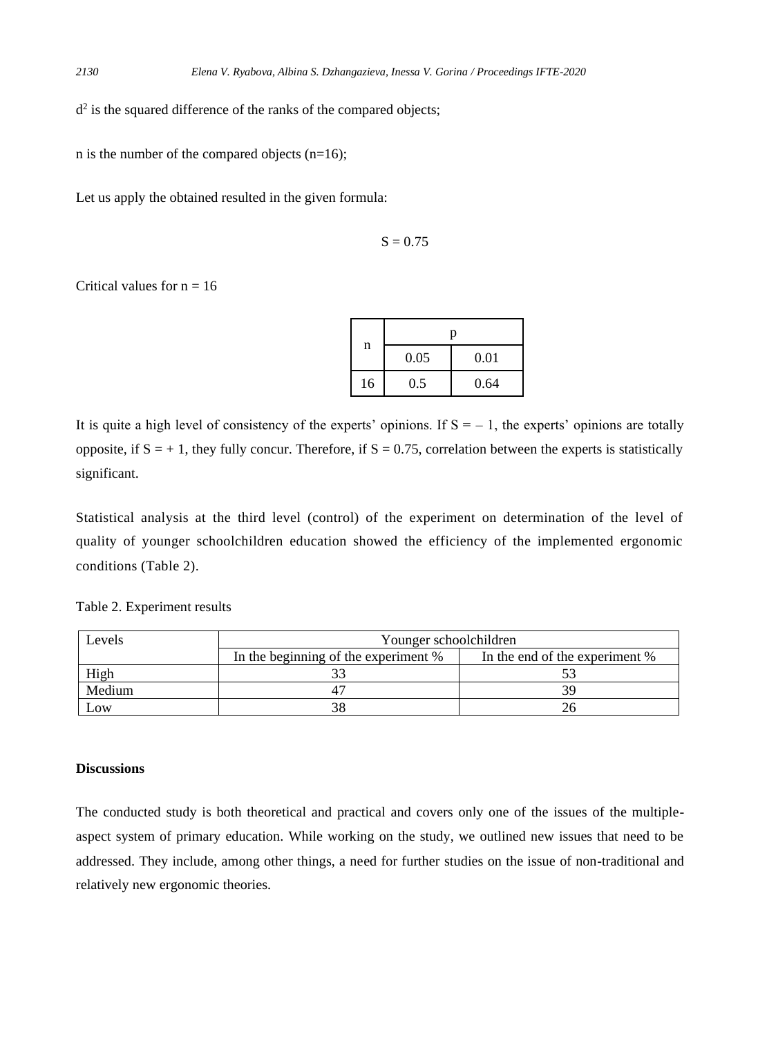$d<sup>2</sup>$  is the squared difference of the ranks of the compared objects;

n is the number of the compared objects  $(n=16)$ ;

Let us apply the obtained resulted in the given formula:

$$
S=0.75
$$

Critical values for  $n = 16$ 

|    | D    |      |  |
|----|------|------|--|
| n  | 0.05 | 0.01 |  |
| 16 | 0.5  | 0.64 |  |

It is quite a high level of consistency of the experts' opinions. If  $S = -1$ , the experts' opinions are totally opposite, if  $S = +1$ , they fully concur. Therefore, if  $S = 0.75$ , correlation between the experts is statistically significant.

Statistical analysis at the third level (control) of the experiment on determination of the level of quality of younger schoolchildren education showed the efficiency of the implemented ergonomic conditions (Table 2).

Table 2. Experiment results

| Levels | Younger schoolchildren               |                                |  |  |
|--------|--------------------------------------|--------------------------------|--|--|
|        | In the beginning of the experiment % | In the end of the experiment % |  |  |
| High   |                                      |                                |  |  |
| Medium |                                      |                                |  |  |
| $L$ OW |                                      |                                |  |  |

#### **Discussions**

The conducted study is both theoretical and practical and covers only one of the issues of the multipleaspect system of primary education. While working on the study, we outlined new issues that need to be addressed. They include, among other things, a need for further studies on the issue of non-traditional and relatively new ergonomic theories.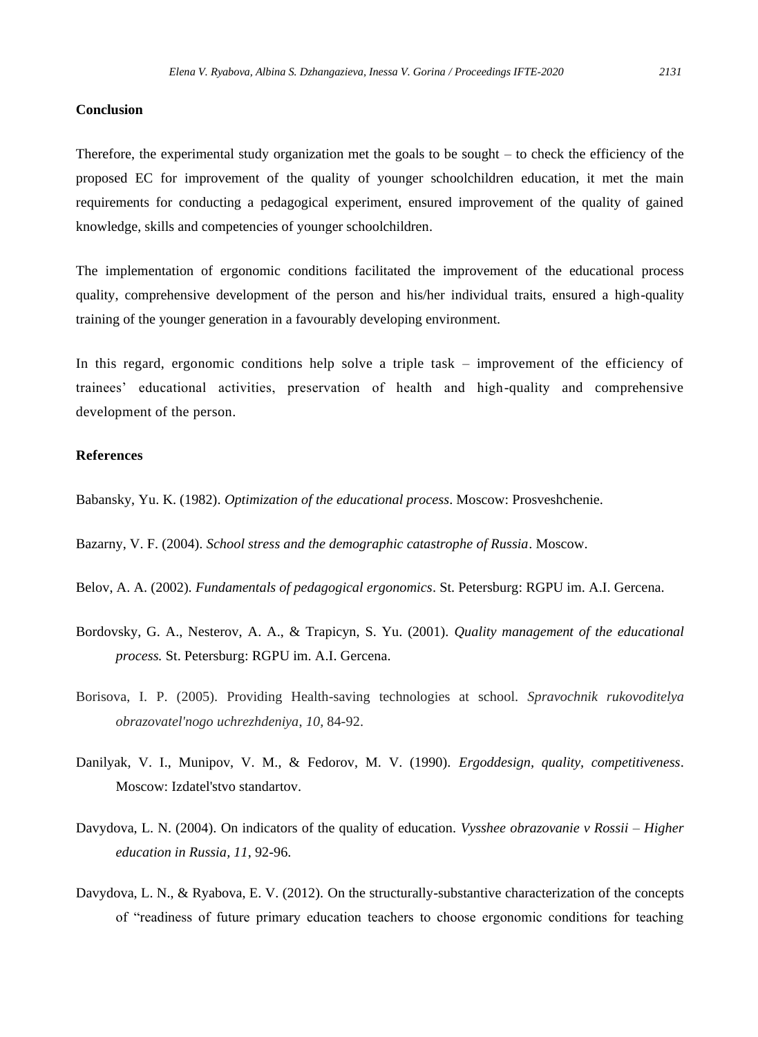#### **Conclusion**

Therefore, the experimental study organization met the goals to be sought – to check the efficiency of the proposed EC for improvement of the quality of younger schoolchildren education, it met the main requirements for conducting a pedagogical experiment, ensured improvement of the quality of gained knowledge, skills and competencies of younger schoolchildren.

The implementation of ergonomic conditions facilitated the improvement of the educational process quality, comprehensive development of the person and his/her individual traits, ensured a high-quality training of the younger generation in a favourably developing environment.

In this regard, ergonomic conditions help solve a triple task – improvement of the efficiency of trainees' educational activities, preservation of health and high-quality and comprehensive development of the person.

## **References**

Babansky, Yu. K. (1982). *Optimization of the educational process*. Moscow: Prosveshchenie.

Bazarny, V. F. (2004). *School stress and the demographic catastrophe of Russia*. Moscow.

Belov, A. A. (2002). *Fundamentals of pedagogical ergonomics*. St. Petersburg: RGPU im. A.I. Gercena.

- Bordovsky, G. A., Nesterov, A. A., & Trapicyn, S. Yu. (2001). *Quality management of the educational process.* St. Petersburg: RGPU im. A.I. Gercena.
- Borisova, I. P. (2005). Providing Health-saving technologies at school. *Spravochnik rukovoditelya obrazovatel'nogo uchrezhdeniya*, *10,* 84-92.
- Danilyak, V. I., Munipov, V. M., & Fedorov, M. V. (1990). *Ergoddesign, quality, competitiveness*. Moscow: Izdatel'stvo standartov.
- Davydova, L. N. (2004). On indicators of the quality of education. *Vysshee obrazovanie v Rossii Higher education in Russia, 11*, 92-96.
- Davydova, L. N., & Ryabova, E. V. (2012). On the structurally-substantive characterization of the concepts of "readiness of future primary education teachers to choose ergonomic conditions for teaching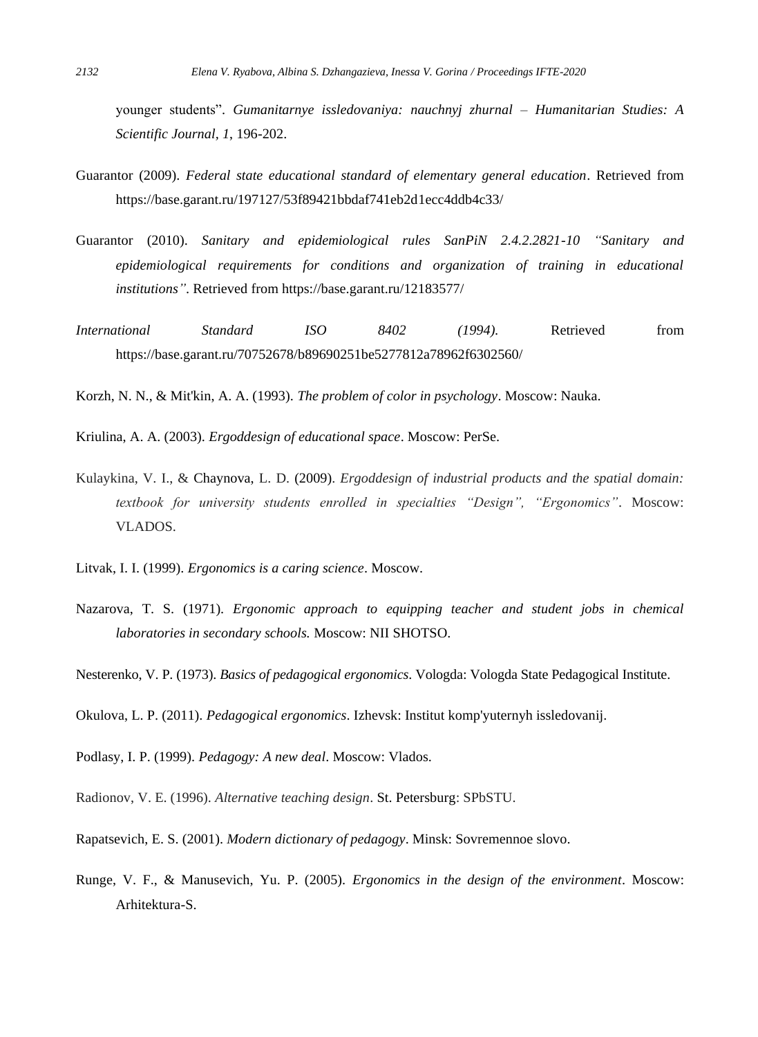younger students". *Gumanitarnye issledovaniya: nauchnyj zhurnal – Humanitarian Studies: A Scientific Journal, 1*, 196-202.

- Guarantor (2009). *Federal state educational standard of elementary general education*. Retrieved from https://base.garant.ru/197127/53f89421bbdaf741eb2d1ecc4ddb4c33/
- Guarantor (2010). *Sanitary and epidemiological rules SanPiN 2.4.2.2821-10 "Sanitary and epidemiological requirements for conditions and organization of training in educational institutions"*. Retrieved from https://base.garant.ru/12183577/
- *International Standard ISO 8402 (1994).* Retrieved from https://base.garant.ru/70752678/b89690251be5277812a78962f6302560/

Korzh, N. N., & Mit'kin, A. A. (1993). *The problem of color in psychology*. Moscow: Nauka.

Kriulina, A. A. (2003). *Ergoddesign of educational space*. Moscow: PerSe.

Kulaykina, V. I., & Chaynova, L. D. (2009). *Ergoddesign of industrial products and the spatial domain: textbook for university students enrolled in specialties "Design", "Ergonomics"*. Moscow: VLADOS.

Litvak, I. I. (1999). *Ergonomics is a caring science*. Moscow.

- Nazarova, T. S. (1971). *Ergonomic approach to equipping teacher and student jobs in chemical laboratories in secondary schools.* Moscow: NII SHOTSO.
- Nesterenko, V. P. (1973). *Basics of pedagogical ergonomics*. Vologda: Vologda State Pedagogical Institute.

Okulova, L. P. (2011). *Pedagogical ergonomics*. Izhevsk: Institut komp'yuternyh issledovanij.

Podlasy, I. P. (1999). *Pedagogy: A new deal*. Moscow: Vlados.

Radionov, V. E. (1996). *Alternative teaching design*. St. Petersburg: SPbSTU.

Rapatsevich, E. S. (2001). *Modern dictionary of pedagogy*. Minsk: Sovremennoe slovo.

Runge, V. F., & Manusevich, Yu. P. (2005). *Ergonomics in the design of the environment*. Moscow: Arhitektura-S.